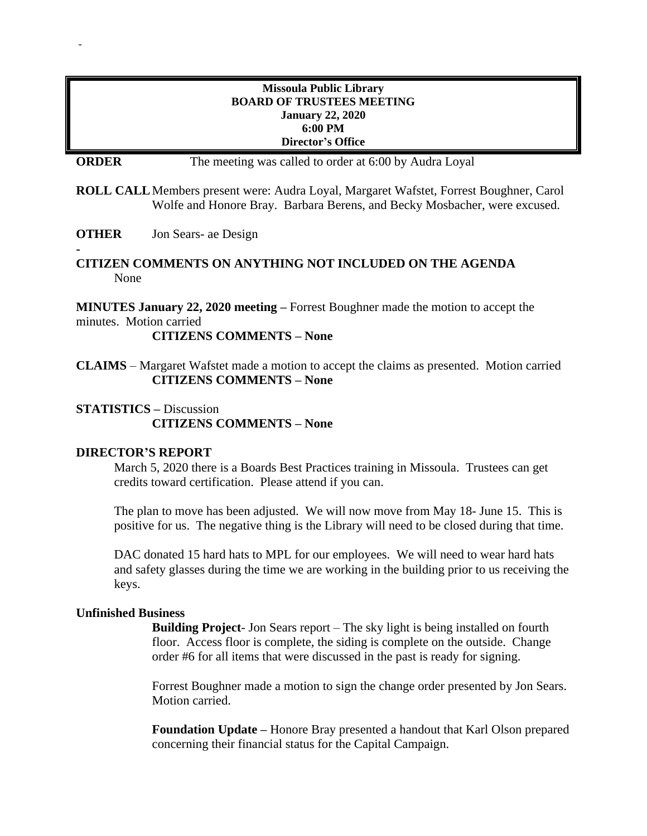### **Missoula Public Library BOARD OF TRUSTEES MEETING January 22, 2020 6:00 PM Director's Office**

**ORDER** The meeting was called to order at 6:00 by Audra Loyal

**ROLL CALL**Members present were: Audra Loyal, Margaret Wafstet, Forrest Boughner, Carol Wolfe and Honore Bray. Barbara Berens, and Becky Mosbacher, were excused.

**OTHER** Jon Sears- ae Design

-

**- CITIZEN COMMENTS ON ANYTHING NOT INCLUDED ON THE AGENDA** None

**MINUTES January 22, 2020 meeting –** Forrest Boughner made the motion to accept the minutes. Motion carried

**CITIZENS COMMENTS – None**

**CLAIMS** – Margaret Wafstet made a motion to accept the claims as presented. Motion carried **CITIZENS COMMENTS – None**

# **STATISTICS –** Discussion **CITIZENS COMMENTS – None**

## **DIRECTOR'S REPORT**

March 5, 2020 there is a Boards Best Practices training in Missoula. Trustees can get credits toward certification. Please attend if you can.

The plan to move has been adjusted. We will now move from May 18- June 15. This is positive for us. The negative thing is the Library will need to be closed during that time.

DAC donated 15 hard hats to MPL for our employees. We will need to wear hard hats and safety glasses during the time we are working in the building prior to us receiving the keys.

#### **Unfinished Business**

**Building Project**- Jon Sears report – The sky light is being installed on fourth floor. Access floor is complete, the siding is complete on the outside. Change order #6 for all items that were discussed in the past is ready for signing.

Forrest Boughner made a motion to sign the change order presented by Jon Sears. Motion carried.

**Foundation Update –** Honore Bray presented a handout that Karl Olson prepared concerning their financial status for the Capital Campaign.